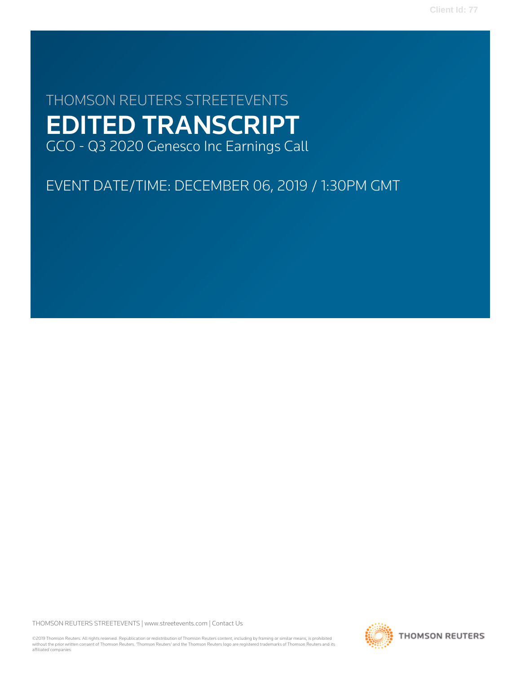# THOMSON REUTERS STREETEVENTS EDITED TRANSCRIPT GCO - Q3 2020 Genesco Inc Earnings Call

## EVENT DATE/TIME: DECEMBER 06, 2019 / 1:30PM GMT

THOMSON REUTERS STREETEVENTS | [www.streetevents.com](http://www.streetevents.com) | [Contact Us](http://www010.streetevents.com/contact.asp)

©2019 Thomson Reuters. All rights reserved. Republication or redistribution of Thomson Reuters content, including by framing or similar means, is prohibited without the prior written consent of Thomson Reuters. 'Thomson Reuters' and the Thomson Reuters logo are registered trademarks of Thomson Reuters and its affiliated companies.

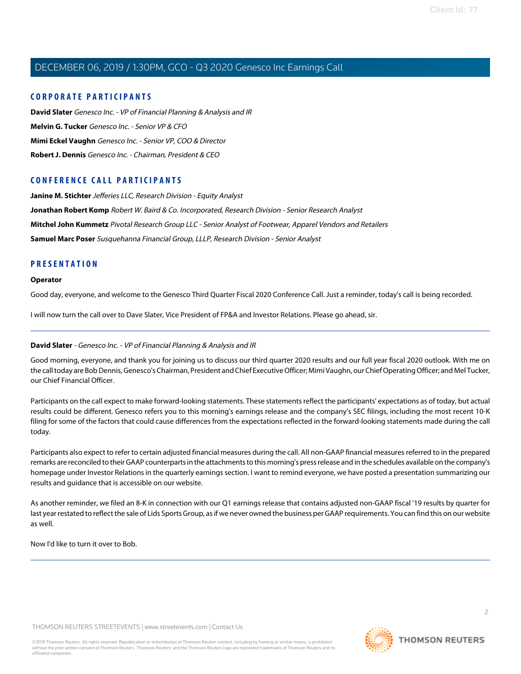#### **CORPORATE PARTICIPANTS**

**[David Slater](#page-1-0)** Genesco Inc. - VP of Financial Planning & Analysis and IR **[Melvin G. Tucker](#page-3-0)** Genesco Inc. - Senior VP & CFO **[Mimi Eckel Vaughn](#page-5-0)** Genesco Inc. - Senior VP, COO & Director **[Robert J. Dennis](#page-2-0)** Genesco Inc. - Chairman, President & CEO

#### **CONFERENCE CALL PARTICIPANTS**

**[Janine M. Stichter](#page-7-0)** Jefferies LLC, Research Division - Equity Analyst **[Jonathan Robert Komp](#page-8-0)** Robert W. Baird & Co. Incorporated, Research Division - Senior Research Analyst **[Mitchel John Kummetz](#page-10-0)** Pivotal Research Group LLC - Senior Analyst of Footwear, Apparel Vendors and Retailers **[Samuel Marc Poser](#page-9-0)** Susquehanna Financial Group, LLLP, Research Division - Senior Analyst

#### **PRESENTATION**

#### **Operator**

Good day, everyone, and welcome to the Genesco Third Quarter Fiscal 2020 Conference Call. Just a reminder, today's call is being recorded.

<span id="page-1-0"></span>I will now turn the call over to Dave Slater, Vice President of FP&A and Investor Relations. Please go ahead, sir.

#### **David Slater** - Genesco Inc. - VP of Financial Planning & Analysis and IR

Good morning, everyone, and thank you for joining us to discuss our third quarter 2020 results and our full year fiscal 2020 outlook. With me on the call today are Bob Dennis, Genesco's Chairman, President and Chief Executive Officer; Mimi Vaughn, our Chief Operating Officer; and Mel Tucker, our Chief Financial Officer.

Participants on the call expect to make forward-looking statements. These statements reflect the participants' expectations as of today, but actual results could be different. Genesco refers you to this morning's earnings release and the company's SEC filings, including the most recent 10-K filing for some of the factors that could cause differences from the expectations reflected in the forward-looking statements made during the call today.

Participants also expect to refer to certain adjusted financial measures during the call. All non-GAAP financial measures referred to in the prepared remarks are reconciled to their GAAP counterparts in the attachments to this morning's press release and in the schedules available on the company's homepage under Investor Relations in the quarterly earnings section. I want to remind everyone, we have posted a presentation summarizing our results and guidance that is accessible on our website.

As another reminder, we filed an 8-K in connection with our Q1 earnings release that contains adjusted non-GAAP fiscal '19 results by quarter for last year restated to reflect the sale of Lids Sports Group, as if we never owned the business per GAAP requirements. You can find this on our website as well.

Now I'd like to turn it over to Bob.

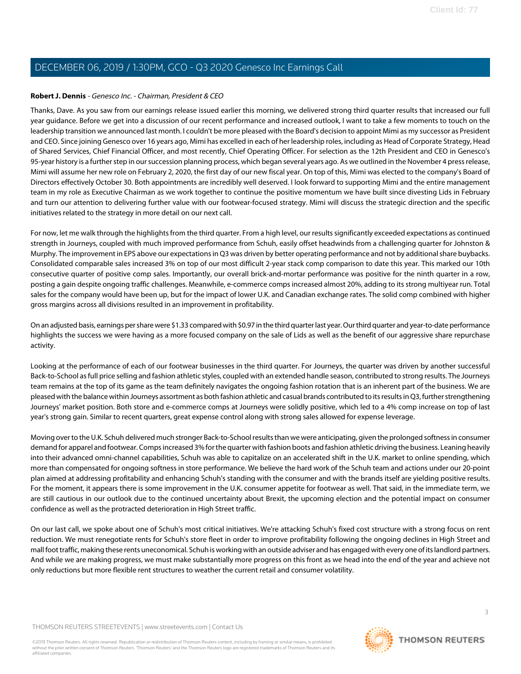#### <span id="page-2-0"></span>**Robert J. Dennis** - Genesco Inc. - Chairman, President & CEO

Thanks, Dave. As you saw from our earnings release issued earlier this morning, we delivered strong third quarter results that increased our full year guidance. Before we get into a discussion of our recent performance and increased outlook, I want to take a few moments to touch on the leadership transition we announced last month. I couldn't be more pleased with the Board's decision to appoint Mimi as my successor as President and CEO. Since joining Genesco over 16 years ago, Mimi has excelled in each of her leadership roles, including as Head of Corporate Strategy, Head of Shared Services, Chief Financial Officer, and most recently, Chief Operating Officer. For selection as the 12th President and CEO in Genesco's 95-year history is a further step in our succession planning process, which began several years ago. As we outlined in the November 4 press release, Mimi will assume her new role on February 2, 2020, the first day of our new fiscal year. On top of this, Mimi was elected to the company's Board of Directors effectively October 30. Both appointments are incredibly well deserved. I look forward to supporting Mimi and the entire management team in my role as Executive Chairman as we work together to continue the positive momentum we have built since divesting Lids in February and turn our attention to delivering further value with our footwear-focused strategy. Mimi will discuss the strategic direction and the specific initiatives related to the strategy in more detail on our next call.

For now, let me walk through the highlights from the third quarter. From a high level, our results significantly exceeded expectations as continued strength in Journeys, coupled with much improved performance from Schuh, easily offset headwinds from a challenging quarter for Johnston & Murphy. The improvement in EPS above our expectations in Q3 was driven by better operating performance and not by additional share buybacks. Consolidated comparable sales increased 3% on top of our most difficult 2-year stack comp comparison to date this year. This marked our 10th consecutive quarter of positive comp sales. Importantly, our overall brick-and-mortar performance was positive for the ninth quarter in a row, posting a gain despite ongoing traffic challenges. Meanwhile, e-commerce comps increased almost 20%, adding to its strong multiyear run. Total sales for the company would have been up, but for the impact of lower U.K. and Canadian exchange rates. The solid comp combined with higher gross margins across all divisions resulted in an improvement in profitability.

On an adjusted basis, earnings per share were \$1.33 compared with \$0.97 in the third quarter last year. Our third quarter and year-to-date performance highlights the success we were having as a more focused company on the sale of Lids as well as the benefit of our aggressive share repurchase activity.

Looking at the performance of each of our footwear businesses in the third quarter. For Journeys, the quarter was driven by another successful Back-to-School as full price selling and fashion athletic styles, coupled with an extended handle season, contributed to strong results. The Journeys team remains at the top of its game as the team definitely navigates the ongoing fashion rotation that is an inherent part of the business. We are pleased with the balance within Journeys assortment as both fashion athletic and casual brands contributed to its results in Q3, further strengthening Journeys' market position. Both store and e-commerce comps at Journeys were solidly positive, which led to a 4% comp increase on top of last year's strong gain. Similar to recent quarters, great expense control along with strong sales allowed for expense leverage.

Moving over to the U.K. Schuh delivered much stronger Back-to-School results than we were anticipating, given the prolonged softness in consumer demand for apparel and footwear. Comps increased 3% for the quarter with fashion boots and fashion athletic driving the business. Leaning heavily into their advanced omni-channel capabilities, Schuh was able to capitalize on an accelerated shift in the U.K. market to online spending, which more than compensated for ongoing softness in store performance. We believe the hard work of the Schuh team and actions under our 20-point plan aimed at addressing profitability and enhancing Schuh's standing with the consumer and with the brands itself are yielding positive results. For the moment, it appears there is some improvement in the U.K. consumer appetite for footwear as well. That said, in the immediate term, we are still cautious in our outlook due to the continued uncertainty about Brexit, the upcoming election and the potential impact on consumer confidence as well as the protracted deterioration in High Street traffic.

On our last call, we spoke about one of Schuh's most critical initiatives. We're attacking Schuh's fixed cost structure with a strong focus on rent reduction. We must renegotiate rents for Schuh's store fleet in order to improve profitability following the ongoing declines in High Street and mall foot traffic, making these rents uneconomical. Schuh is working with an outside adviser and has engaged with every one of its landlord partners. And while we are making progress, we must make substantially more progress on this front as we head into the end of the year and achieve not only reductions but more flexible rent structures to weather the current retail and consumer volatility.

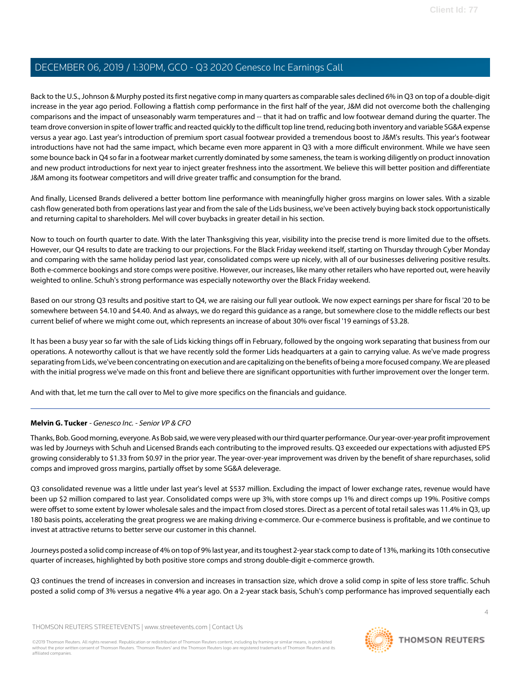Back to the U.S., Johnson & Murphy posted its first negative comp in many quarters as comparable sales declined 6% in Q3 on top of a double-digit increase in the year ago period. Following a flattish comp performance in the first half of the year, J&M did not overcome both the challenging comparisons and the impact of unseasonably warm temperatures and -- that it had on traffic and low footwear demand during the quarter. The team drove conversion in spite of lower traffic and reacted quickly to the difficult top line trend, reducing both inventory and variable SG&A expense versus a year ago. Last year's introduction of premium sport casual footwear provided a tremendous boost to J&M's results. This year's footwear introductions have not had the same impact, which became even more apparent in Q3 with a more difficult environment. While we have seen some bounce back in Q4 so far in a footwear market currently dominated by some sameness, the team is working diligently on product innovation and new product introductions for next year to inject greater freshness into the assortment. We believe this will better position and differentiate J&M among its footwear competitors and will drive greater traffic and consumption for the brand.

And finally, Licensed Brands delivered a better bottom line performance with meaningfully higher gross margins on lower sales. With a sizable cash flow generated both from operations last year and from the sale of the Lids business, we've been actively buying back stock opportunistically and returning capital to shareholders. Mel will cover buybacks in greater detail in his section.

Now to touch on fourth quarter to date. With the later Thanksgiving this year, visibility into the precise trend is more limited due to the offsets. However, our Q4 results to date are tracking to our projections. For the Black Friday weekend itself, starting on Thursday through Cyber Monday and comparing with the same holiday period last year, consolidated comps were up nicely, with all of our businesses delivering positive results. Both e-commerce bookings and store comps were positive. However, our increases, like many other retailers who have reported out, were heavily weighted to online. Schuh's strong performance was especially noteworthy over the Black Friday weekend.

Based on our strong Q3 results and positive start to Q4, we are raising our full year outlook. We now expect earnings per share for fiscal '20 to be somewhere between \$4.10 and \$4.40. And as always, we do regard this guidance as a range, but somewhere close to the middle reflects our best current belief of where we might come out, which represents an increase of about 30% over fiscal '19 earnings of \$3.28.

It has been a busy year so far with the sale of Lids kicking things off in February, followed by the ongoing work separating that business from our operations. A noteworthy callout is that we have recently sold the former Lids headquarters at a gain to carrying value. As we've made progress separating from Lids, we've been concentrating on execution and are capitalizing on the benefits of being a more focused company. We are pleased with the initial progress we've made on this front and believe there are significant opportunities with further improvement over the longer term.

<span id="page-3-0"></span>And with that, let me turn the call over to Mel to give more specifics on the financials and guidance.

#### **Melvin G. Tucker** - Genesco Inc. - Senior VP & CFO

Thanks, Bob. Good morning, everyone. As Bob said, we were very pleased with our third quarter performance. Our year-over-year profit improvement was led by Journeys with Schuh and Licensed Brands each contributing to the improved results. Q3 exceeded our expectations with adjusted EPS growing considerably to \$1.33 from \$0.97 in the prior year. The year-over-year improvement was driven by the benefit of share repurchases, solid comps and improved gross margins, partially offset by some SG&A deleverage.

Q3 consolidated revenue was a little under last year's level at \$537 million. Excluding the impact of lower exchange rates, revenue would have been up \$2 million compared to last year. Consolidated comps were up 3%, with store comps up 1% and direct comps up 19%. Positive comps were offset to some extent by lower wholesale sales and the impact from closed stores. Direct as a percent of total retail sales was 11.4% in Q3, up 180 basis points, accelerating the great progress we are making driving e-commerce. Our e-commerce business is profitable, and we continue to invest at attractive returns to better serve our customer in this channel.

Journeys posted a solid comp increase of 4% on top of 9% last year, and its toughest 2-year stack comp to date of 13%, marking its 10th consecutive quarter of increases, highlighted by both positive store comps and strong double-digit e-commerce growth.

Q3 continues the trend of increases in conversion and increases in transaction size, which drove a solid comp in spite of less store traffic. Schuh posted a solid comp of 3% versus a negative 4% a year ago. On a 2-year stack basis, Schuh's comp performance has improved sequentially each

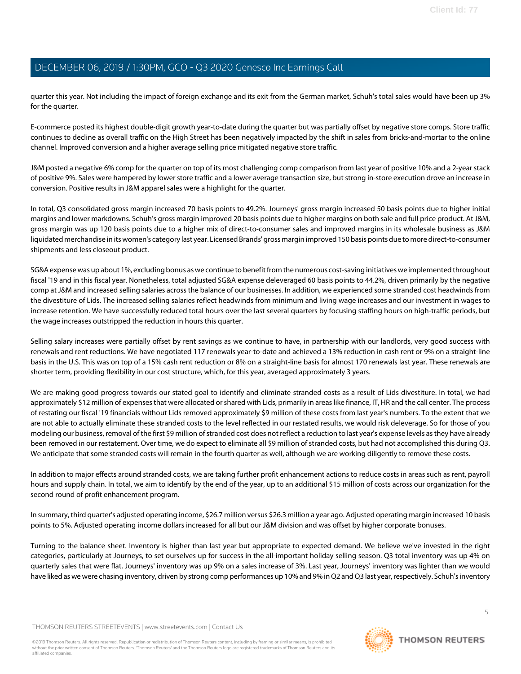quarter this year. Not including the impact of foreign exchange and its exit from the German market, Schuh's total sales would have been up 3% for the quarter.

E-commerce posted its highest double-digit growth year-to-date during the quarter but was partially offset by negative store comps. Store traffic continues to decline as overall traffic on the High Street has been negatively impacted by the shift in sales from bricks-and-mortar to the online channel. Improved conversion and a higher average selling price mitigated negative store traffic.

J&M posted a negative 6% comp for the quarter on top of its most challenging comp comparison from last year of positive 10% and a 2-year stack of positive 9%. Sales were hampered by lower store traffic and a lower average transaction size, but strong in-store execution drove an increase in conversion. Positive results in J&M apparel sales were a highlight for the quarter.

In total, Q3 consolidated gross margin increased 70 basis points to 49.2%. Journeys' gross margin increased 50 basis points due to higher initial margins and lower markdowns. Schuh's gross margin improved 20 basis points due to higher margins on both sale and full price product. At J&M, gross margin was up 120 basis points due to a higher mix of direct-to-consumer sales and improved margins in its wholesale business as J&M liquidated merchandise in its women's category last year. Licensed Brands' gross margin improved 150 basis points due to more direct-to-consumer shipments and less closeout product.

SG&A expense was up about 1%, excluding bonus as we continue to benefit from the numerous cost-saving initiatives we implemented throughout fiscal '19 and in this fiscal year. Nonetheless, total adjusted SG&A expense deleveraged 60 basis points to 44.2%, driven primarily by the negative comp at J&M and increased selling salaries across the balance of our businesses. In addition, we experienced some stranded cost headwinds from the divestiture of Lids. The increased selling salaries reflect headwinds from minimum and living wage increases and our investment in wages to increase retention. We have successfully reduced total hours over the last several quarters by focusing staffing hours on high-traffic periods, but the wage increases outstripped the reduction in hours this quarter.

Selling salary increases were partially offset by rent savings as we continue to have, in partnership with our landlords, very good success with renewals and rent reductions. We have negotiated 117 renewals year-to-date and achieved a 13% reduction in cash rent or 9% on a straight-line basis in the U.S. This was on top of a 15% cash rent reduction or 8% on a straight-line basis for almost 170 renewals last year. These renewals are shorter term, providing flexibility in our cost structure, which, for this year, averaged approximately 3 years.

We are making good progress towards our stated goal to identify and eliminate stranded costs as a result of Lids divestiture. In total, we had approximately \$12 million of expenses that were allocated or shared with Lids, primarily in areas like finance, IT, HR and the call center. The process of restating our fiscal '19 financials without Lids removed approximately \$9 million of these costs from last year's numbers. To the extent that we are not able to actually eliminate these stranded costs to the level reflected in our restated results, we would risk deleverage. So for those of you modeling our business, removal of the first \$9 million of stranded cost does not reflect a reduction to last year's expense levels as they have already been removed in our restatement. Over time, we do expect to eliminate all \$9 million of stranded costs, but had not accomplished this during Q3. We anticipate that some stranded costs will remain in the fourth quarter as well, although we are working diligently to remove these costs.

In addition to major effects around stranded costs, we are taking further profit enhancement actions to reduce costs in areas such as rent, payroll hours and supply chain. In total, we aim to identify by the end of the year, up to an additional \$15 million of costs across our organization for the second round of profit enhancement program.

In summary, third quarter's adjusted operating income, \$26.7 million versus \$26.3 million a year ago. Adjusted operating margin increased 10 basis points to 5%. Adjusted operating income dollars increased for all but our J&M division and was offset by higher corporate bonuses.

Turning to the balance sheet. Inventory is higher than last year but appropriate to expected demand. We believe we've invested in the right categories, particularly at Journeys, to set ourselves up for success in the all-important holiday selling season. Q3 total inventory was up 4% on quarterly sales that were flat. Journeys' inventory was up 9% on a sales increase of 3%. Last year, Journeys' inventory was lighter than we would have liked as we were chasing inventory, driven by strong comp performances up 10% and 9% in Q2 and Q3 last year, respectively. Schuh's inventory

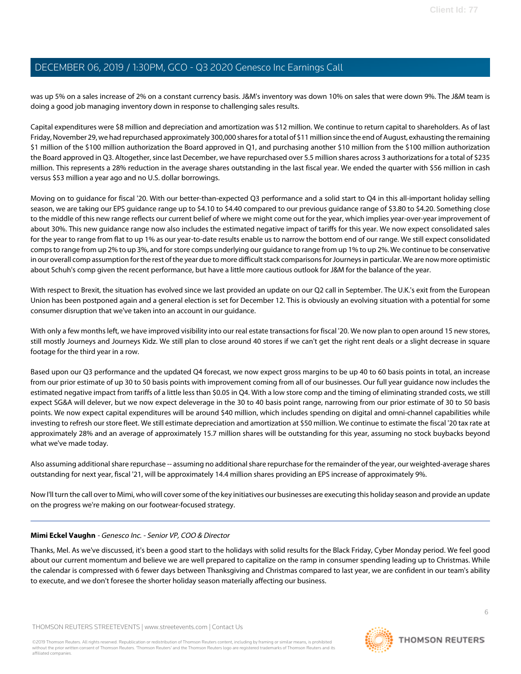was up 5% on a sales increase of 2% on a constant currency basis. J&M's inventory was down 10% on sales that were down 9%. The J&M team is doing a good job managing inventory down in response to challenging sales results.

Capital expenditures were \$8 million and depreciation and amortization was \$12 million. We continue to return capital to shareholders. As of last Friday, November 29, we had repurchased approximately 300,000 shares for a total of \$11 million since the end of August, exhausting the remaining \$1 million of the \$100 million authorization the Board approved in Q1, and purchasing another \$10 million from the \$100 million authorization the Board approved in Q3. Altogether, since last December, we have repurchased over 5.5 million shares across 3 authorizations for a total of \$235 million. This represents a 28% reduction in the average shares outstanding in the last fiscal year. We ended the quarter with \$56 million in cash versus \$53 million a year ago and no U.S. dollar borrowings.

Moving on to guidance for fiscal '20. With our better-than-expected Q3 performance and a solid start to Q4 in this all-important holiday selling season, we are taking our EPS guidance range up to \$4.10 to \$4.40 compared to our previous guidance range of \$3.80 to \$4.20. Something close to the middle of this new range reflects our current belief of where we might come out for the year, which implies year-over-year improvement of about 30%. This new guidance range now also includes the estimated negative impact of tariffs for this year. We now expect consolidated sales for the year to range from flat to up 1% as our year-to-date results enable us to narrow the bottom end of our range. We still expect consolidated comps to range from up 2% to up 3%, and for store comps underlying our guidance to range from up 1% to up 2%. We continue to be conservative in our overall comp assumption for the rest of the year due to more difficult stack comparisons for Journeys in particular. We are now more optimistic about Schuh's comp given the recent performance, but have a little more cautious outlook for J&M for the balance of the year.

With respect to Brexit, the situation has evolved since we last provided an update on our Q2 call in September. The U.K.'s exit from the European Union has been postponed again and a general election is set for December 12. This is obviously an evolving situation with a potential for some consumer disruption that we've taken into an account in our guidance.

With only a few months left, we have improved visibility into our real estate transactions for fiscal '20. We now plan to open around 15 new stores, still mostly Journeys and Journeys Kidz. We still plan to close around 40 stores if we can't get the right rent deals or a slight decrease in square footage for the third year in a row.

Based upon our Q3 performance and the updated Q4 forecast, we now expect gross margins to be up 40 to 60 basis points in total, an increase from our prior estimate of up 30 to 50 basis points with improvement coming from all of our businesses. Our full year guidance now includes the estimated negative impact from tariffs of a little less than \$0.05 in Q4. With a low store comp and the timing of eliminating stranded costs, we still expect SG&A will delever, but we now expect deleverage in the 30 to 40 basis point range, narrowing from our prior estimate of 30 to 50 basis points. We now expect capital expenditures will be around \$40 million, which includes spending on digital and omni-channel capabilities while investing to refresh our store fleet. We still estimate depreciation and amortization at \$50 million. We continue to estimate the fiscal '20 tax rate at approximately 28% and an average of approximately 15.7 million shares will be outstanding for this year, assuming no stock buybacks beyond what we've made today.

Also assuming additional share repurchase -- assuming no additional share repurchase for the remainder of the year, our weighted-average shares outstanding for next year, fiscal '21, will be approximately 14.4 million shares providing an EPS increase of approximately 9%.

<span id="page-5-0"></span>Now I'll turn the call over to Mimi, who will cover some of the key initiatives our businesses are executing this holiday season and provide an update on the progress we're making on our footwear-focused strategy.

#### **Mimi Eckel Vaughn** - Genesco Inc. - Senior VP, COO & Director

Thanks, Mel. As we've discussed, it's been a good start to the holidays with solid results for the Black Friday, Cyber Monday period. We feel good about our current momentum and believe we are well prepared to capitalize on the ramp in consumer spending leading up to Christmas. While the calendar is compressed with 6 fewer days between Thanksgiving and Christmas compared to last year, we are confident in our team's ability to execute, and we don't foresee the shorter holiday season materially affecting our business.

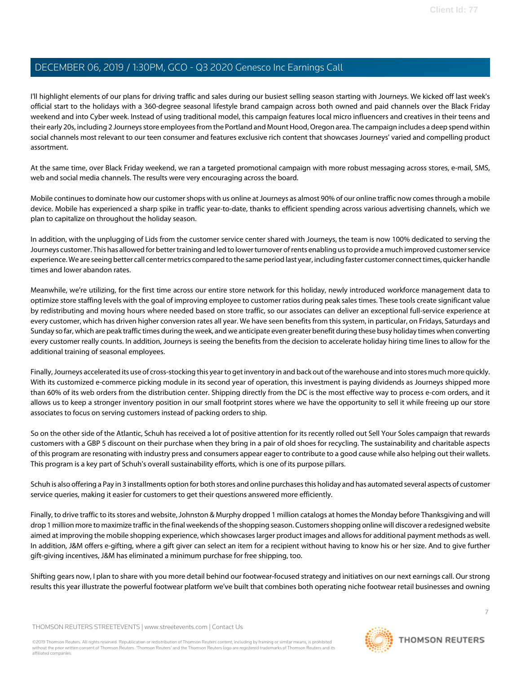I'll highlight elements of our plans for driving traffic and sales during our busiest selling season starting with Journeys. We kicked off last week's official start to the holidays with a 360-degree seasonal lifestyle brand campaign across both owned and paid channels over the Black Friday weekend and into Cyber week. Instead of using traditional model, this campaign features local micro influencers and creatives in their teens and their early 20s, including 2 Journeys store employees from the Portland and Mount Hood, Oregon area. The campaign includes a deep spend within social channels most relevant to our teen consumer and features exclusive rich content that showcases Journeys' varied and compelling product assortment.

At the same time, over Black Friday weekend, we ran a targeted promotional campaign with more robust messaging across stores, e-mail, SMS, web and social media channels. The results were very encouraging across the board.

Mobile continues to dominate how our customer shops with us online at Journeys as almost 90% of our online traffic now comes through a mobile device. Mobile has experienced a sharp spike in traffic year-to-date, thanks to efficient spending across various advertising channels, which we plan to capitalize on throughout the holiday season.

In addition, with the unplugging of Lids from the customer service center shared with Journeys, the team is now 100% dedicated to serving the Journeys customer. This has allowed for better training and led to lower turnover of rents enabling us to provide a much improved customer service experience. We are seeing better call center metrics compared to the same period last year, including faster customer connect times, quicker handle times and lower abandon rates.

Meanwhile, we're utilizing, for the first time across our entire store network for this holiday, newly introduced workforce management data to optimize store staffing levels with the goal of improving employee to customer ratios during peak sales times. These tools create significant value by redistributing and moving hours where needed based on store traffic, so our associates can deliver an exceptional full-service experience at every customer, which has driven higher conversion rates all year. We have seen benefits from this system, in particular, on Fridays, Saturdays and Sunday so far, which are peak traffic times during the week, and we anticipate even greater benefit during these busy holiday times when converting every customer really counts. In addition, Journeys is seeing the benefits from the decision to accelerate holiday hiring time lines to allow for the additional training of seasonal employees.

Finally, Journeys accelerated its use of cross-stocking this year to get inventory in and back out of the warehouse and into stores much more quickly. With its customized e-commerce picking module in its second year of operation, this investment is paying dividends as Journeys shipped more than 60% of its web orders from the distribution center. Shipping directly from the DC is the most effective way to process e-com orders, and it allows us to keep a stronger inventory position in our small footprint stores where we have the opportunity to sell it while freeing up our store associates to focus on serving customers instead of packing orders to ship.

So on the other side of the Atlantic, Schuh has received a lot of positive attention for its recently rolled out Sell Your Soles campaign that rewards customers with a GBP 5 discount on their purchase when they bring in a pair of old shoes for recycling. The sustainability and charitable aspects of this program are resonating with industry press and consumers appear eager to contribute to a good cause while also helping out their wallets. This program is a key part of Schuh's overall sustainability efforts, which is one of its purpose pillars.

Schuh is also offering a Pay in 3 installments option for both stores and online purchases this holiday and has automated several aspects of customer service queries, making it easier for customers to get their questions answered more efficiently.

Finally, to drive traffic to its stores and website, Johnston & Murphy dropped 1 million catalogs at homes the Monday before Thanksgiving and will drop 1 million more to maximize traffic in the final weekends of the shopping season. Customers shopping online will discover a redesigned website aimed at improving the mobile shopping experience, which showcases larger product images and allows for additional payment methods as well. In addition, J&M offers e-gifting, where a gift giver can select an item for a recipient without having to know his or her size. And to give further gift-giving incentives, J&M has eliminated a minimum purchase for free shipping, too.

Shifting gears now, I plan to share with you more detail behind our footwear-focused strategy and initiatives on our next earnings call. Our strong results this year illustrate the powerful footwear platform we've built that combines both operating niche footwear retail businesses and owning

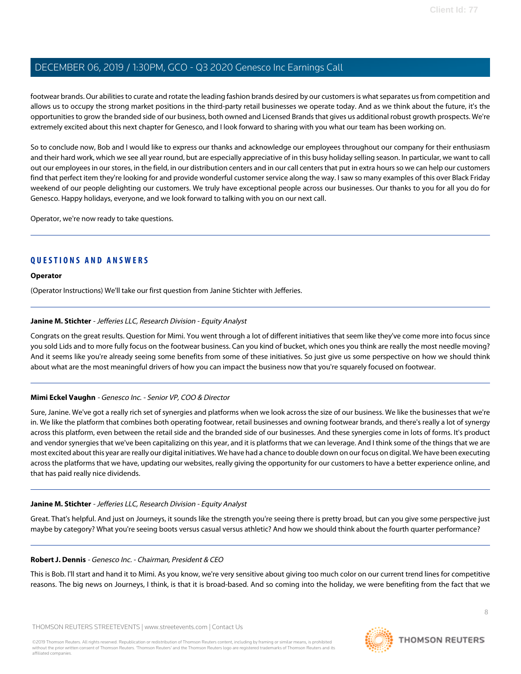footwear brands. Our abilities to curate and rotate the leading fashion brands desired by our customers is what separates us from competition and allows us to occupy the strong market positions in the third-party retail businesses we operate today. And as we think about the future, it's the opportunities to grow the branded side of our business, both owned and Licensed Brands that gives us additional robust growth prospects. We're extremely excited about this next chapter for Genesco, and I look forward to sharing with you what our team has been working on.

So to conclude now, Bob and I would like to express our thanks and acknowledge our employees throughout our company for their enthusiasm and their hard work, which we see all year round, but are especially appreciative of in this busy holiday selling season. In particular, we want to call out our employees in our stores, in the field, in our distribution centers and in our call centers that put in extra hours so we can help our customers find that perfect item they're looking for and provide wonderful customer service along the way. I saw so many examples of this over Black Friday weekend of our people delighting our customers. We truly have exceptional people across our businesses. Our thanks to you for all you do for Genesco. Happy holidays, everyone, and we look forward to talking with you on our next call.

Operator, we're now ready to take questions.

#### **QUESTIONS AND ANSWERS**

#### **Operator**

<span id="page-7-0"></span>(Operator Instructions) We'll take our first question from Janine Stichter with Jefferies.

#### **Janine M. Stichter** - Jefferies LLC, Research Division - Equity Analyst

Congrats on the great results. Question for Mimi. You went through a lot of different initiatives that seem like they've come more into focus since you sold Lids and to more fully focus on the footwear business. Can you kind of bucket, which ones you think are really the most needle moving? And it seems like you're already seeing some benefits from some of these initiatives. So just give us some perspective on how we should think about what are the most meaningful drivers of how you can impact the business now that you're squarely focused on footwear.

#### **Mimi Eckel Vaughn** - Genesco Inc. - Senior VP, COO & Director

Sure, Janine. We've got a really rich set of synergies and platforms when we look across the size of our business. We like the businesses that we're in. We like the platform that combines both operating footwear, retail businesses and owning footwear brands, and there's really a lot of synergy across this platform, even between the retail side and the branded side of our businesses. And these synergies come in lots of forms. It's product and vendor synergies that we've been capitalizing on this year, and it is platforms that we can leverage. And I think some of the things that we are most excited about this year are really our digital initiatives. We have had a chance to double down on our focus on digital. We have been executing across the platforms that we have, updating our websites, really giving the opportunity for our customers to have a better experience online, and that has paid really nice dividends.

#### **Janine M. Stichter** - Jefferies LLC, Research Division - Equity Analyst

Great. That's helpful. And just on Journeys, it sounds like the strength you're seeing there is pretty broad, but can you give some perspective just maybe by category? What you're seeing boots versus casual versus athletic? And how we should think about the fourth quarter performance?

#### **Robert J. Dennis** - Genesco Inc. - Chairman, President & CEO

This is Bob. I'll start and hand it to Mimi. As you know, we're very sensitive about giving too much color on our current trend lines for competitive reasons. The big news on Journeys, I think, is that it is broad-based. And so coming into the holiday, we were benefiting from the fact that we

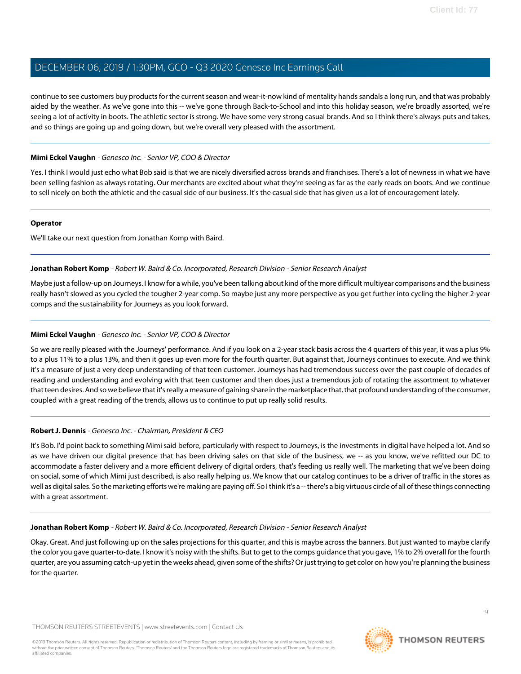continue to see customers buy products for the current season and wear-it-now kind of mentality hands sandals a long run, and that was probably aided by the weather. As we've gone into this -- we've gone through Back-to-School and into this holiday season, we're broadly assorted, we're seeing a lot of activity in boots. The athletic sector is strong. We have some very strong casual brands. And so I think there's always puts and takes, and so things are going up and going down, but we're overall very pleased with the assortment.

#### **Mimi Eckel Vaughn** - Genesco Inc. - Senior VP, COO & Director

Yes. I think I would just echo what Bob said is that we are nicely diversified across brands and franchises. There's a lot of newness in what we have been selling fashion as always rotating. Our merchants are excited about what they're seeing as far as the early reads on boots. And we continue to sell nicely on both the athletic and the casual side of our business. It's the casual side that has given us a lot of encouragement lately.

#### **Operator**

<span id="page-8-0"></span>We'll take our next question from Jonathan Komp with Baird.

#### **Jonathan Robert Komp** - Robert W. Baird & Co. Incorporated, Research Division - Senior Research Analyst

Maybe just a follow-up on Journeys. I know for a while, you've been talking about kind of the more difficult multiyear comparisons and the business really hasn't slowed as you cycled the tougher 2-year comp. So maybe just any more perspective as you get further into cycling the higher 2-year comps and the sustainability for Journeys as you look forward.

#### **Mimi Eckel Vaughn** - Genesco Inc. - Senior VP, COO & Director

So we are really pleased with the Journeys' performance. And if you look on a 2-year stack basis across the 4 quarters of this year, it was a plus 9% to a plus 11% to a plus 13%, and then it goes up even more for the fourth quarter. But against that, Journeys continues to execute. And we think it's a measure of just a very deep understanding of that teen customer. Journeys has had tremendous success over the past couple of decades of reading and understanding and evolving with that teen customer and then does just a tremendous job of rotating the assortment to whatever that teen desires. And so we believe that it's really a measure of gaining share in the marketplace that, that profound understanding of the consumer, coupled with a great reading of the trends, allows us to continue to put up really solid results.

#### **Robert J. Dennis** - Genesco Inc. - Chairman, President & CEO

It's Bob. I'd point back to something Mimi said before, particularly with respect to Journeys, is the investments in digital have helped a lot. And so as we have driven our digital presence that has been driving sales on that side of the business, we -- as you know, we've refitted our DC to accommodate a faster delivery and a more efficient delivery of digital orders, that's feeding us really well. The marketing that we've been doing on social, some of which Mimi just described, is also really helping us. We know that our catalog continues to be a driver of traffic in the stores as well as digital sales. So the marketing efforts we're making are paying off. So I think it's a -- there's a big virtuous circle of all of these things connecting with a great assortment.

#### **Jonathan Robert Komp** - Robert W. Baird & Co. Incorporated, Research Division - Senior Research Analyst

Okay. Great. And just following up on the sales projections for this quarter, and this is maybe across the banners. But just wanted to maybe clarify the color you gave quarter-to-date. I know it's noisy with the shifts. But to get to the comps guidance that you gave, 1% to 2% overall for the fourth quarter, are you assuming catch-up yet in the weeks ahead, given some of the shifts? Or just trying to get color on how you're planning the business for the quarter.

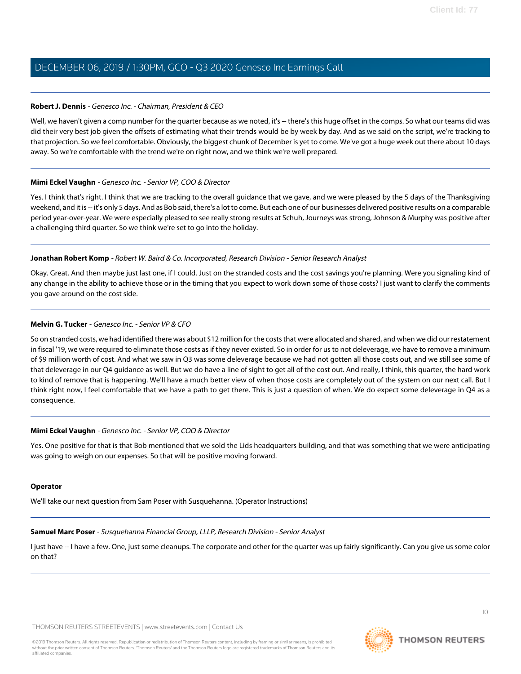#### **Robert J. Dennis** - Genesco Inc. - Chairman, President & CEO

Well, we haven't given a comp number for the quarter because as we noted, it's -- there's this huge offset in the comps. So what our teams did was did their very best job given the offsets of estimating what their trends would be by week by day. And as we said on the script, we're tracking to that projection. So we feel comfortable. Obviously, the biggest chunk of December is yet to come. We've got a huge week out there about 10 days away. So we're comfortable with the trend we're on right now, and we think we're well prepared.

#### **Mimi Eckel Vaughn** - Genesco Inc. - Senior VP, COO & Director

Yes. I think that's right. I think that we are tracking to the overall guidance that we gave, and we were pleased by the 5 days of the Thanksgiving weekend, and it is -- it's only 5 days. And as Bob said, there's a lot to come. But each one of our businesses delivered positive results on a comparable period year-over-year. We were especially pleased to see really strong results at Schuh, Journeys was strong, Johnson & Murphy was positive after a challenging third quarter. So we think we're set to go into the holiday.

#### **Jonathan Robert Komp** - Robert W. Baird & Co. Incorporated, Research Division - Senior Research Analyst

Okay. Great. And then maybe just last one, if I could. Just on the stranded costs and the cost savings you're planning. Were you signaling kind of any change in the ability to achieve those or in the timing that you expect to work down some of those costs? I just want to clarify the comments you gave around on the cost side.

#### **Melvin G. Tucker** - Genesco Inc. - Senior VP & CFO

So on stranded costs, we had identified there was about \$12 million for the costs that were allocated and shared, and when we did our restatement in fiscal '19, we were required to eliminate those costs as if they never existed. So in order for us to not deleverage, we have to remove a minimum of \$9 million worth of cost. And what we saw in Q3 was some deleverage because we had not gotten all those costs out, and we still see some of that deleverage in our Q4 guidance as well. But we do have a line of sight to get all of the cost out. And really, I think, this quarter, the hard work to kind of remove that is happening. We'll have a much better view of when those costs are completely out of the system on our next call. But I think right now, I feel comfortable that we have a path to get there. This is just a question of when. We do expect some deleverage in Q4 as a consequence.

#### **Mimi Eckel Vaughn** - Genesco Inc. - Senior VP, COO & Director

Yes. One positive for that is that Bob mentioned that we sold the Lids headquarters building, and that was something that we were anticipating was going to weigh on our expenses. So that will be positive moving forward.

#### <span id="page-9-0"></span>**Operator**

We'll take our next question from Sam Poser with Susquehanna. (Operator Instructions)

#### **Samuel Marc Poser** - Susquehanna Financial Group, LLLP, Research Division - Senior Analyst

I just have -- I have a few. One, just some cleanups. The corporate and other for the quarter was up fairly significantly. Can you give us some color on that?

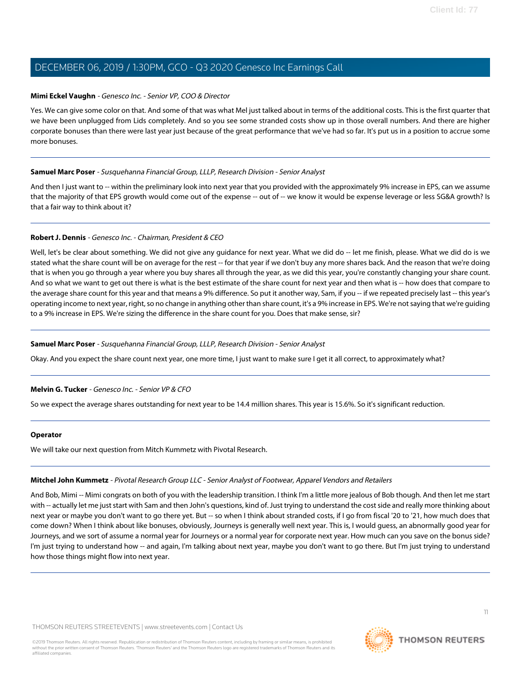#### **Mimi Eckel Vaughn** - Genesco Inc. - Senior VP, COO & Director

Yes. We can give some color on that. And some of that was what Mel just talked about in terms of the additional costs. This is the first quarter that we have been unplugged from Lids completely. And so you see some stranded costs show up in those overall numbers. And there are higher corporate bonuses than there were last year just because of the great performance that we've had so far. It's put us in a position to accrue some more bonuses.

#### **Samuel Marc Poser** - Susquehanna Financial Group, LLLP, Research Division - Senior Analyst

And then I just want to -- within the preliminary look into next year that you provided with the approximately 9% increase in EPS, can we assume that the majority of that EPS growth would come out of the expense -- out of -- we know it would be expense leverage or less SG&A growth? Is that a fair way to think about it?

#### **Robert J. Dennis** - Genesco Inc. - Chairman, President & CEO

Well, let's be clear about something. We did not give any guidance for next year. What we did do -- let me finish, please. What we did do is we stated what the share count will be on average for the rest -- for that year if we don't buy any more shares back. And the reason that we're doing that is when you go through a year where you buy shares all through the year, as we did this year, you're constantly changing your share count. And so what we want to get out there is what is the best estimate of the share count for next year and then what is -- how does that compare to the average share count for this year and that means a 9% difference. So put it another way, Sam, if you -- if we repeated precisely last -- this year's operating income to next year, right, so no change in anything other than share count, it's a 9% increase in EPS. We're not saying that we're guiding to a 9% increase in EPS. We're sizing the difference in the share count for you. Does that make sense, sir?

#### **Samuel Marc Poser** - Susquehanna Financial Group, LLLP, Research Division - Senior Analyst

Okay. And you expect the share count next year, one more time, I just want to make sure I get it all correct, to approximately what?

#### **Melvin G. Tucker** - Genesco Inc. - Senior VP & CFO

So we expect the average shares outstanding for next year to be 14.4 million shares. This year is 15.6%. So it's significant reduction.

#### <span id="page-10-0"></span>**Operator**

We will take our next question from Mitch Kummetz with Pivotal Research.

#### **Mitchel John Kummetz** - Pivotal Research Group LLC - Senior Analyst of Footwear, Apparel Vendors and Retailers

And Bob, Mimi -- Mimi congrats on both of you with the leadership transition. I think I'm a little more jealous of Bob though. And then let me start with -- actually let me just start with Sam and then John's questions, kind of. Just trying to understand the cost side and really more thinking about next year or maybe you don't want to go there yet. But -- so when I think about stranded costs, if I go from fiscal '20 to '21, how much does that come down? When I think about like bonuses, obviously, Journeys is generally well next year. This is, I would guess, an abnormally good year for Journeys, and we sort of assume a normal year for Journeys or a normal year for corporate next year. How much can you save on the bonus side? I'm just trying to understand how -- and again, I'm talking about next year, maybe you don't want to go there. But I'm just trying to understand how those things might flow into next year.

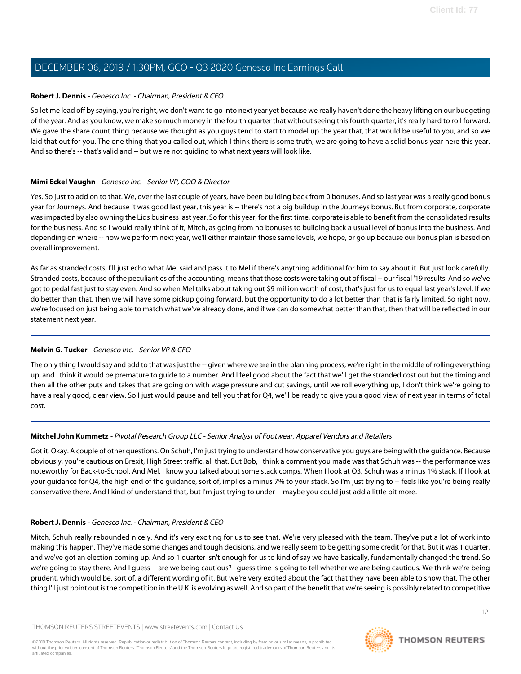#### **Robert J. Dennis** - Genesco Inc. - Chairman, President & CEO

So let me lead off by saying, you're right, we don't want to go into next year yet because we really haven't done the heavy lifting on our budgeting of the year. And as you know, we make so much money in the fourth quarter that without seeing this fourth quarter, it's really hard to roll forward. We gave the share count thing because we thought as you guys tend to start to model up the year that, that would be useful to you, and so we laid that out for you. The one thing that you called out, which I think there is some truth, we are going to have a solid bonus year here this year. And so there's -- that's valid and -- but we're not guiding to what next years will look like.

#### **Mimi Eckel Vaughn** - Genesco Inc. - Senior VP, COO & Director

Yes. So just to add on to that. We, over the last couple of years, have been building back from 0 bonuses. And so last year was a really good bonus year for Journeys. And because it was good last year, this year is -- there's not a big buildup in the Journeys bonus. But from corporate, corporate was impacted by also owning the Lids business last year. So for this year, for the first time, corporate is able to benefit from the consolidated results for the business. And so I would really think of it, Mitch, as going from no bonuses to building back a usual level of bonus into the business. And depending on where -- how we perform next year, we'll either maintain those same levels, we hope, or go up because our bonus plan is based on overall improvement.

As far as stranded costs, I'll just echo what Mel said and pass it to Mel if there's anything additional for him to say about it. But just look carefully. Stranded costs, because of the peculiarities of the accounting, means that those costs were taking out of fiscal -- our fiscal '19 results. And so we've got to pedal fast just to stay even. And so when Mel talks about taking out \$9 million worth of cost, that's just for us to equal last year's level. If we do better than that, then we will have some pickup going forward, but the opportunity to do a lot better than that is fairly limited. So right now, we're focused on just being able to match what we've already done, and if we can do somewhat better than that, then that will be reflected in our statement next year.

#### **Melvin G. Tucker** - Genesco Inc. - Senior VP & CFO

The only thing I would say and add to that was just the -- given where we are in the planning process, we're right in the middle of rolling everything up, and I think it would be premature to guide to a number. And I feel good about the fact that we'll get the stranded cost out but the timing and then all the other puts and takes that are going on with wage pressure and cut savings, until we roll everything up, I don't think we're going to have a really good, clear view. So I just would pause and tell you that for Q4, we'll be ready to give you a good view of next year in terms of total cost.

#### **Mitchel John Kummetz** - Pivotal Research Group LLC - Senior Analyst of Footwear, Apparel Vendors and Retailers

Got it. Okay. A couple of other questions. On Schuh, I'm just trying to understand how conservative you guys are being with the guidance. Because obviously, you're cautious on Brexit, High Street traffic, all that. But Bob, I think a comment you made was that Schuh was -- the performance was noteworthy for Back-to-School. And Mel, I know you talked about some stack comps. When I look at Q3, Schuh was a minus 1% stack. If I look at your guidance for Q4, the high end of the guidance, sort of, implies a minus 7% to your stack. So I'm just trying to -- feels like you're being really conservative there. And I kind of understand that, but I'm just trying to under -- maybe you could just add a little bit more.

#### **Robert J. Dennis** - Genesco Inc. - Chairman, President & CEO

Mitch, Schuh really rebounded nicely. And it's very exciting for us to see that. We're very pleased with the team. They've put a lot of work into making this happen. They've made some changes and tough decisions, and we really seem to be getting some credit for that. But it was 1 quarter, and we've got an election coming up. And so 1 quarter isn't enough for us to kind of say we have basically, fundamentally changed the trend. So we're going to stay there. And I guess -- are we being cautious? I guess time is going to tell whether we are being cautious. We think we're being prudent, which would be, sort of, a different wording of it. But we're very excited about the fact that they have been able to show that. The other thing I'll just point out is the competition in the U.K. is evolving as well. And so part of the benefit that we're seeing is possibly related to competitive

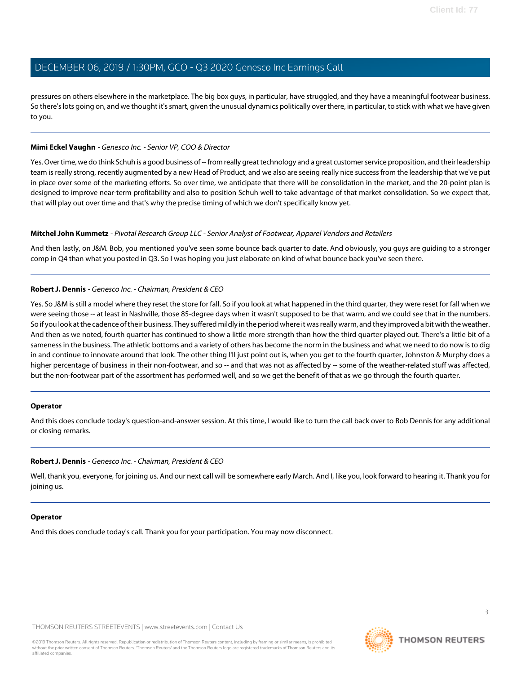pressures on others elsewhere in the marketplace. The big box guys, in particular, have struggled, and they have a meaningful footwear business. So there's lots going on, and we thought it's smart, given the unusual dynamics politically over there, in particular, to stick with what we have given to you.

#### **Mimi Eckel Vaughn** - Genesco Inc. - Senior VP, COO & Director

Yes. Over time, we do think Schuh is a good business of -- from really great technology and a great customer service proposition, and their leadership team is really strong, recently augmented by a new Head of Product, and we also are seeing really nice success from the leadership that we've put in place over some of the marketing efforts. So over time, we anticipate that there will be consolidation in the market, and the 20-point plan is designed to improve near-term profitability and also to position Schuh well to take advantage of that market consolidation. So we expect that, that will play out over time and that's why the precise timing of which we don't specifically know yet.

#### **Mitchel John Kummetz** - Pivotal Research Group LLC - Senior Analyst of Footwear, Apparel Vendors and Retailers

And then lastly, on J&M. Bob, you mentioned you've seen some bounce back quarter to date. And obviously, you guys are guiding to a stronger comp in Q4 than what you posted in Q3. So I was hoping you just elaborate on kind of what bounce back you've seen there.

#### **Robert J. Dennis** - Genesco Inc. - Chairman, President & CEO

Yes. So J&M is still a model where they reset the store for fall. So if you look at what happened in the third quarter, they were reset for fall when we were seeing those -- at least in Nashville, those 85-degree days when it wasn't supposed to be that warm, and we could see that in the numbers. So if you look at the cadence of their business. They suffered mildly in the period where it was really warm, and they improved a bit with the weather. And then as we noted, fourth quarter has continued to show a little more strength than how the third quarter played out. There's a little bit of a sameness in the business. The athletic bottoms and a variety of others has become the norm in the business and what we need to do now is to dig in and continue to innovate around that look. The other thing I'll just point out is, when you get to the fourth quarter, Johnston & Murphy does a higher percentage of business in their non-footwear, and so -- and that was not as affected by -- some of the weather-related stuff was affected, but the non-footwear part of the assortment has performed well, and so we get the benefit of that as we go through the fourth quarter.

#### **Operator**

And this does conclude today's question-and-answer session. At this time, I would like to turn the call back over to Bob Dennis for any additional or closing remarks.

#### **Robert J. Dennis** - Genesco Inc. - Chairman, President & CEO

Well, thank you, everyone, for joining us. And our next call will be somewhere early March. And I, like you, look forward to hearing it. Thank you for joining us.

#### **Operator**

And this does conclude today's call. Thank you for your participation. You may now disconnect.